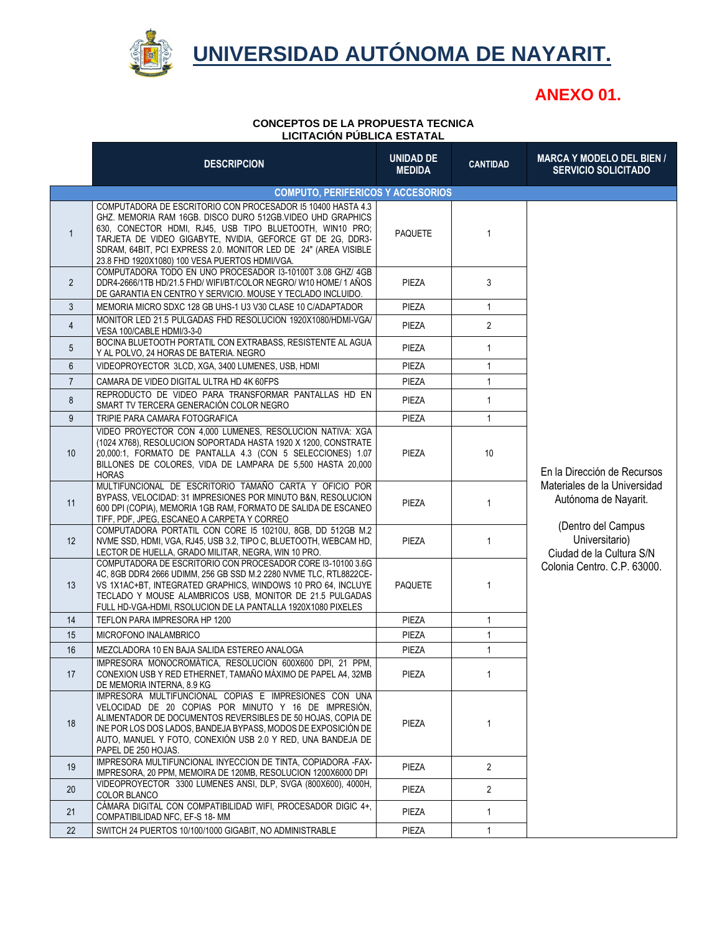

## **UNIVERSIDAD AUTÓNOMA DE NAYARIT.**

## **ANEXO 01.**

## **CONCEPTOS DE LA PROPUESTA TECNICA LICITACIÓN PÚBLICA ESTATAL**

|                   | <b>DESCRIPCION</b>                                                                                                                                                                                                                                                                                                                                                        | <b>UNIDAD DE</b><br><b>MEDIDA</b> | <b>CANTIDAD</b> | <b>MARCA Y MODELO DEL BIEN /</b><br><b>SERVICIO SOLICITADO</b>                      |
|-------------------|---------------------------------------------------------------------------------------------------------------------------------------------------------------------------------------------------------------------------------------------------------------------------------------------------------------------------------------------------------------------------|-----------------------------------|-----------------|-------------------------------------------------------------------------------------|
|                   | <b>COMPUTO, PERIFERICOS Y ACCESORIOS</b>                                                                                                                                                                                                                                                                                                                                  |                                   |                 |                                                                                     |
| $\mathbf{1}$      | COMPUTADORA DE ESCRITORIO CON PROCESADOR 15 10400 HASTA 4.3<br>GHZ. MEMORIA RAM 16GB. DISCO DURO 512GB. VIDEO UHD GRAPHICS<br>630, CONECTOR HDMI, RJ45, USB TIPO BLUETOOTH, WIN10 PRO;<br>TARJETA DE VIDEO GIGABYTE, NVIDIA, GEFORCE GT DE 2G, DDR3-<br>SDRAM, 64BIT, PCI EXPRESS 2.0. MONITOR LED DE 24" (AREA VISIBLE<br>23.8 FHD 1920X1080) 100 VESA PUERTOS HDMI/VGA. | <b>PAQUETE</b>                    | $\mathbf{1}$    |                                                                                     |
| $\overline{2}$    | COMPUTADORA TODO EN UNO PROCESADOR 13-10100T 3.08 GHZ/ 4GB<br>DDR4-2666/1TB HD/21.5 FHD/WIFI/BT/COLOR NEGRO/W10 HOME/1 AÑOS<br>DE GARANTIA EN CENTRO Y SERVICIO. MOUSE Y TECLADO INCLUIDO.                                                                                                                                                                                | PIEZA                             | 3               |                                                                                     |
| 3                 | MEMORIA MICRO SDXC 128 GB UHS-1 U3 V30 CLASE 10 C/ADAPTADOR                                                                                                                                                                                                                                                                                                               | PIEZA                             | $\mathbf{1}$    |                                                                                     |
| $\overline{4}$    | MONITOR LED 21.5 PULGADAS FHD RESOLUCION 1920X1080/HDMI-VGA/<br>VESA 100/CABLE HDMI/3-3-0                                                                                                                                                                                                                                                                                 | PIEZA                             | $\overline{2}$  |                                                                                     |
| 5                 | BOCINA BLUETOOTH PORTATIL CON EXTRABASS, RESISTENTE AL AGUA<br>Y AL POLVO, 24 HORAS DE BATERIA. NEGRO                                                                                                                                                                                                                                                                     | PIEZA                             | $\mathbf{1}$    |                                                                                     |
| 6                 | VIDEOPROYECTOR 3LCD, XGA, 3400 LUMENES, USB, HDMI                                                                                                                                                                                                                                                                                                                         | PIEZA                             | $\mathbf{1}$    |                                                                                     |
| $\overline{7}$    | CAMARA DE VIDEO DIGITAL ULTRA HD 4K 60FPS                                                                                                                                                                                                                                                                                                                                 | PIEZA                             | $\mathbf{1}$    |                                                                                     |
| 8                 | REPRODUCTO DE VIDEO PARA TRANSFORMAR PANTALLAS HD EN<br>SMART TV TERCERA GENERACIÓN COLOR NEGRO                                                                                                                                                                                                                                                                           | PIEZA                             | $\mathbf{1}$    |                                                                                     |
| 9                 | TRIPIE PARA CAMARA FOTOGRAFICA                                                                                                                                                                                                                                                                                                                                            | PIEZA                             | $\mathbf{1}$    |                                                                                     |
| 10 <sup>°</sup>   | VIDEO PROYECTOR CON 4,000 LUMENES, RESOLUCION NATIVA: XGA<br>(1024 X768), RESOLUCION SOPORTADA HASTA 1920 X 1200, CONSTRATE<br>20,000:1, FORMATO DE PANTALLA 4.3 (CON 5 SELECCIONES) 1.07<br>BILLONES DE COLORES. VIDA DE LAMPARA DE 5.500 HASTA 20.000<br><b>HORAS</b>                                                                                                   | PIEZA                             | 10 <sup>°</sup> | En la Dirección de Recursos<br>Materiales de la Universidad<br>Autónoma de Nayarit. |
| 11                | MULTIFUNCIONAL DE ESCRITORIO TAMAÑO CARTA Y OFICIO POR<br>BYPASS, VELOCIDAD: 31 IMPRESIONES POR MINUTO B&N, RESOLUCION<br>600 DPI (COPIA), MEMORIA 1GB RAM, FORMATO DE SALIDA DE ESCANEO<br>TIFF, PDF, JPEG, ESCANEO A CARPETA Y CORREO                                                                                                                                   | PIEZA                             | $\mathbf{1}$    |                                                                                     |
| $12 \overline{ }$ | COMPUTADORA PORTATIL CON CORE 15 10210U, 8GB, DD 512GB M.2<br>NVME SSD, HDMI, VGA, RJ45, USB 3.2, TIPO C, BLUETOOTH, WEBCAM HD,<br>LECTOR DE HUELLA, GRADO MILITAR, NEGRA, WIN 10 PRO.                                                                                                                                                                                    | PIEZA                             | $\mathbf{1}$    | (Dentro del Campus<br>Universitario)<br>Ciudad de la Cultura S/N                    |
| 13                | COMPUTADORA DE ESCRITORIO CON PROCESADOR CORE 13-10100 3.6G<br>4C, 8GB DDR4 2666 UDIMM, 256 GB SSD M.2 2280 NVME TLC, RTL8822CE-<br>VS 1X1AC+BT, INTEGRATED GRAPHICS, WINDOWS 10 PRO 64, INCLUYE<br>TECLADO Y MOUSE ALAMBRICOS USB, MONITOR DE 21.5 PULGADAS<br>FULL HD-VGA-HDMI, RSOLUCION DE LA PANTALLA 1920X1080 PIXELES                                              | <b>PAQUETE</b>                    | $\mathbf{1}$    | Colonia Centro. C.P. 63000.                                                         |
| 14                | TEFLON PARA IMPRESORA HP 1200                                                                                                                                                                                                                                                                                                                                             | PIEZA                             | $\mathbf{1}$    |                                                                                     |
| 15                | <b>MICROFONO INALAMBRICO</b>                                                                                                                                                                                                                                                                                                                                              | PIEZA                             | $\mathbf{1}$    |                                                                                     |
| 16                | MEZCLADORA 10 EN BAJA SALIDA ESTEREO ANALOGA                                                                                                                                                                                                                                                                                                                              | PIEZA                             | $\mathbf{1}$    |                                                                                     |
| 17                | IMPRESORA MONOCROMÁTICA, RESOLUCION 600X600 DPI, 21 PPM,<br>CONEXION USB Y RED ETHERNET, TAMAÑO MÁXIMO DE PAPEL A4, 32MB<br>DE MEMORIA INTERNA, 8.9 KG                                                                                                                                                                                                                    | PIEZA                             | 1               |                                                                                     |
| 18                | IMPRESORA MULTIFUNCIONAL COPIAS E IMPRESIONES CON UNA<br>VELOCIDAD DE 20 COPIAS POR MINUTO Y 16 DE IMPRESIÓN,<br>ALIMENTADOR DE DOCUMENTOS REVERSIBLES DE 50 HOJAS, COPIA DE<br>INE POR LOS DOS LADOS, BANDEJA BYPASS, MODOS DE EXPOSICIÓN DE<br>AUTO, MANUEL Y FOTO, CONEXIÓN USB 2.0 Y RED, UNA BANDEJA DE<br>PAPEL DE 250 HOJAS.                                       | PIEZA                             | 1               |                                                                                     |
| 19                | IMPRESORA MULTIFUNCIONAL INYECCION DE TINTA, COPIADORA -FAX-<br>IMPRESORA, 20 PPM, MEMOIRA DE 120MB, RESOLUCION 1200X6000 DPI                                                                                                                                                                                                                                             | PIEZA                             | $\overline{2}$  |                                                                                     |
| 20                | VIDEOPROYECTOR 3300 LUMENES ANSI, DLP, SVGA (800X600), 4000H,<br><b>COLOR BLANCO</b>                                                                                                                                                                                                                                                                                      | PIEZA                             | $\overline{2}$  |                                                                                     |
| 21                | CÁMARA DIGITAL CON COMPATIBILIDAD WIFI, PROCESADOR DIGIC 4+,<br>COMPATIBILIDAD NFC, EF-S 18-MM                                                                                                                                                                                                                                                                            | PIEZA                             | $\mathbf{1}$    |                                                                                     |
| 22                | SWITCH 24 PUERTOS 10/100/1000 GIGABIT, NO ADMINISTRABLE                                                                                                                                                                                                                                                                                                                   | PIEZA                             | $\mathbf{1}$    |                                                                                     |